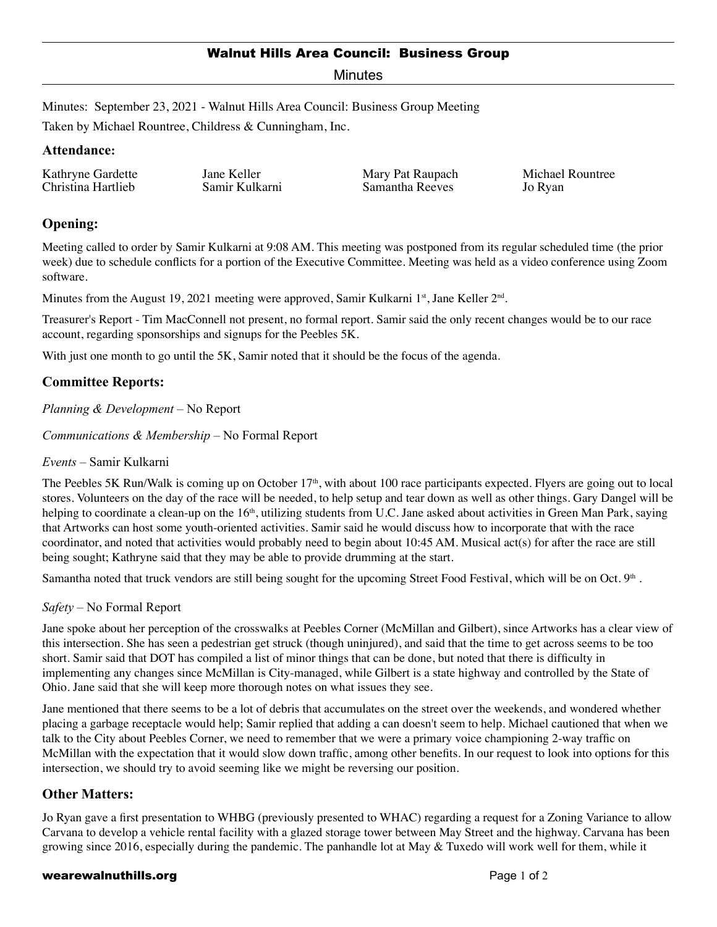### Walnut Hills Area Council: Business Group

Minutes

Minutes: September 23, 2021 - Walnut Hills Area Council: Business Group Meeting

Taken by Michael Rountree, Childress & Cunningham, Inc.

## **Attendance:**

Kathryne Gardette Christina Hartlieb

Jane Keller Samir Kulkarni Mary Pat Raupach Samantha Reeves

Michael Rountree Jo Ryan

# **Opening:**

Meeting called to order by Samir Kulkarni at 9:08 AM. This meeting was postponed from its regular scheduled time (the prior week) due to schedule conflicts for a portion of the Executive Committee. Meeting was held as a video conference using Zoom software.

Minutes from the August 19, 2021 meeting were approved, Samir Kulkarni 1st, Jane Keller  $2<sup>nd</sup>$ .

Treasurer's Report - Tim MacConnell not present, no formal report. Samir said the only recent changes would be to our race account, regarding sponsorships and signups for the Peebles 5K.

With just one month to go until the 5K, Samir noted that it should be the focus of the agenda.

## **Committee Reports:**

*Planning & Development* – No Report

*Communications & Membership* – No Formal Report

*Events* – Samir Kulkarni

The Peebles 5K Run/Walk is coming up on October  $17<sup>th</sup>$ , with about 100 race participants expected. Flyers are going out to local stores. Volunteers on the day of the race will be needed, to help setup and tear down as well as other things. Gary Dangel will be helping to coordinate a clean-up on the 16<sup>th</sup>, utilizing students from U.C. Jane asked about activities in Green Man Park, saying that Artworks can host some youth-oriented activities. Samir said he would discuss how to incorporate that with the race coordinator, and noted that activities would probably need to begin about 10:45 AM. Musical act(s) for after the race are still being sought; Kathryne said that they may be able to provide drumming at the start.

Samantha noted that truck vendors are still being sought for the upcoming Street Food Festival, which will be on Oct. 9<sup>th</sup>.

*Safety* – No Formal Report

Jane spoke about her perception of the crosswalks at Peebles Corner (McMillan and Gilbert), since Artworks has a clear view of this intersection. She has seen a pedestrian get struck (though uninjured), and said that the time to get across seems to be too short. Samir said that DOT has compiled a list of minor things that can be done, but noted that there is difficulty in implementing any changes since McMillan is City-managed, while Gilbert is a state highway and controlled by the State of Ohio. Jane said that she will keep more thorough notes on what issues they see.

Jane mentioned that there seems to be a lot of debris that accumulates on the street over the weekends, and wondered whether placing a garbage receptacle would help; Samir replied that adding a can doesn't seem to help. Michael cautioned that when we talk to the City about Peebles Corner, we need to remember that we were a primary voice championing 2-way traffic on McMillan with the expectation that it would slow down traffic, among other benefits. In our request to look into options for this intersection, we should try to avoid seeming like we might be reversing our position.

## **Other Matters:**

Jo Ryan gave a first presentation to WHBG (previously presented to WHAC) regarding a request for a Zoning Variance to allow Carvana to develop a vehicle rental facility with a glazed storage tower between May Street and the highway. Carvana has been growing since 2016, especially during the pandemic. The panhandle lot at May  $&$  Tuxedo will work well for them, while it

#### wearewalnuthills.org **Page 1 of 2** and 2 and 2 and 2 and 2 and 2 and 2 and 2 and 2 and 2 and 2 and 2 and 2 and 2 and 2 and 2 and 2 and 2 and 2 and 2 and 2 and 2 and 2 and 2 and 2 and 2 and 2 and 2 and 2 and 2 and 2 and 2 a